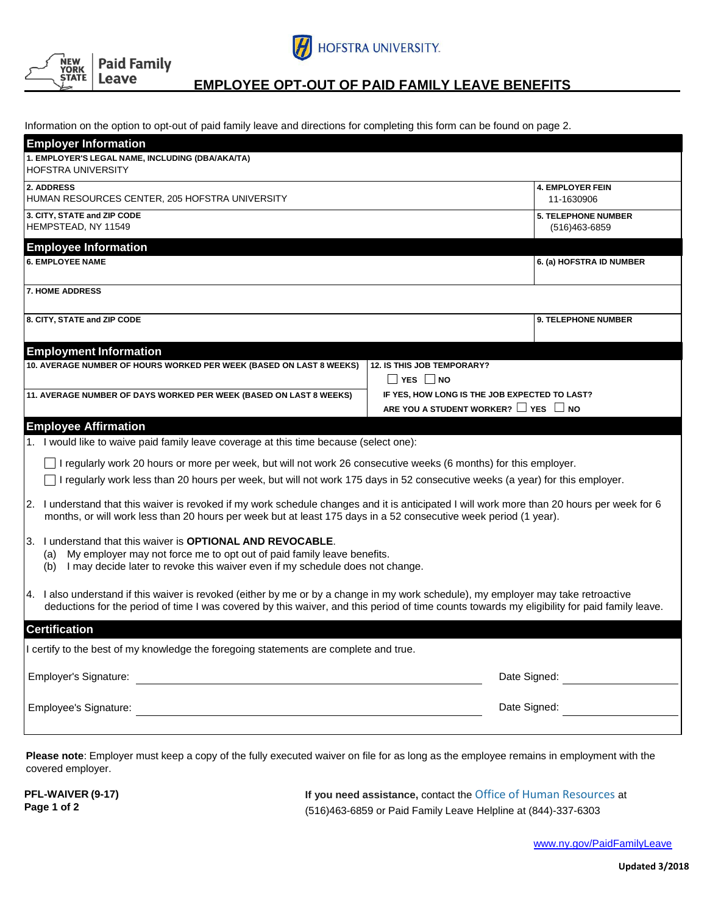



## **EMPLOYEE OPT-OUT OF PAID FAMILY LEAVE BENEFITS**

Information on the option to opt-out of paid family leave and directions for completing this form can be found on page 2.

| <b>Employer Information</b>                                                                                                                                                                                                                                                        |                                                                                                 |                                                 |
|------------------------------------------------------------------------------------------------------------------------------------------------------------------------------------------------------------------------------------------------------------------------------------|-------------------------------------------------------------------------------------------------|-------------------------------------------------|
| 1. EMPLOYER'S LEGAL NAME, INCLUDING (DBA/AKA/TA)<br><b>HOFSTRA UNIVERSITY</b>                                                                                                                                                                                                      |                                                                                                 |                                                 |
| 2. ADDRESS<br>HUMAN RESOURCES CENTER, 205 HOFSTRA UNIVERSITY                                                                                                                                                                                                                       |                                                                                                 | <b>4. EMPLOYER FEIN</b><br>11-1630906           |
| 3. CITY, STATE and ZIP CODE<br>HEMPSTEAD, NY 11549                                                                                                                                                                                                                                 |                                                                                                 | <b>5. TELEPHONE NUMBER</b><br>$(516)463 - 6859$ |
| <b>Employee Information</b>                                                                                                                                                                                                                                                        |                                                                                                 |                                                 |
| <b>6. EMPLOYEE NAME</b>                                                                                                                                                                                                                                                            |                                                                                                 | 6. (a) HOFSTRA ID NUMBER                        |
| <b>7. HOME ADDRESS</b>                                                                                                                                                                                                                                                             |                                                                                                 |                                                 |
| 8. CITY, STATE and ZIP CODE                                                                                                                                                                                                                                                        |                                                                                                 | <b>9. TELEPHONE NUMBER</b>                      |
| <b>Employment Information</b>                                                                                                                                                                                                                                                      |                                                                                                 |                                                 |
| 10. AVERAGE NUMBER OF HOURS WORKED PER WEEK (BASED ON LAST 8 WEEKS)                                                                                                                                                                                                                | <b>12. IS THIS JOB TEMPORARY?</b><br><b>NO</b> YES NO                                           |                                                 |
| 11. AVERAGE NUMBER OF DAYS WORKED PER WEEK (BASED ON LAST 8 WEEKS)                                                                                                                                                                                                                 | IF YES, HOW LONG IS THE JOB EXPECTED TO LAST?<br>ARE YOU A STUDENT WORKER? $\Box$ YES $\Box$ NO |                                                 |
| <b>Employee Affirmation</b>                                                                                                                                                                                                                                                        |                                                                                                 |                                                 |
| 1. I would like to waive paid family leave coverage at this time because (select one):                                                                                                                                                                                             |                                                                                                 |                                                 |
| I regularly work 20 hours or more per week, but will not work 26 consecutive weeks (6 months) for this employer.                                                                                                                                                                   |                                                                                                 |                                                 |
| I regularly work less than 20 hours per week, but will not work 175 days in 52 consecutive weeks (a year) for this employer.                                                                                                                                                       |                                                                                                 |                                                 |
| 2. I understand that this waiver is revoked if my work schedule changes and it is anticipated I will work more than 20 hours per week for 6<br>months, or will work less than 20 hours per week but at least 175 days in a 52 consecutive week period (1 year).                    |                                                                                                 |                                                 |
| 3. I understand that this waiver is <b>OPTIONAL AND REVOCABLE</b> .<br>My employer may not force me to opt out of paid family leave benefits.<br>(a)<br>I may decide later to revoke this waiver even if my schedule does not change.<br>(b)                                       |                                                                                                 |                                                 |
| 4. I also understand if this waiver is revoked (either by me or by a change in my work schedule), my employer may take retroactive<br>deductions for the period of time I was covered by this waiver, and this period of time counts towards my eligibility for paid family leave. |                                                                                                 |                                                 |
| <b>Certification</b>                                                                                                                                                                                                                                                               |                                                                                                 |                                                 |
| I certify to the best of my knowledge the foregoing statements are complete and true.                                                                                                                                                                                              |                                                                                                 |                                                 |
| Employer's Signature:                                                                                                                                                                                                                                                              |                                                                                                 | Date Signed:                                    |
| Employee's Signature:                                                                                                                                                                                                                                                              | Date Signed:                                                                                    |                                                 |
|                                                                                                                                                                                                                                                                                    |                                                                                                 |                                                 |

**Please note**: Employer must keep a copy of the fully executed waiver on file for as long as the employee remains in employment with the covered employer.

**PFL-WAIVER (9-17) Page 1 of 2**

**If you need assistance,** contact the Office of Human Resources at (516)463-6859 or Paid Family Leave Helpline at (844)-337-6303

[www.ny.gov/PaidFamilyLeave](http://www.ny.gov/PaidFamilyLeave)